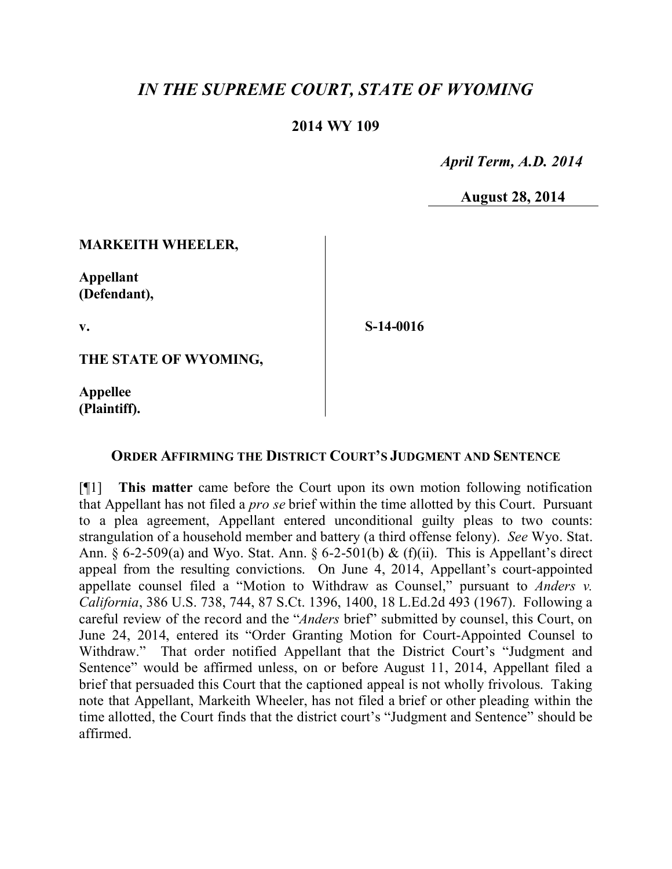# *IN THE SUPREME COURT, STATE OF WYOMING*

### **2014 WY 109**

 *April Term, A.D. 2014*

**August 28, 2014**

#### **MARKEITH WHEELER,**

**Appellant (Defendant),**

**v.**

**S-14-0016**

**THE STATE OF WYOMING,**

**Appellee (Plaintiff).**

#### **ORDER AFFIRMING THE DISTRICT COURT'S JUDGMENT AND SENTENCE**

[¶1] **This matter** came before the Court upon its own motion following notification that Appellant has not filed a *pro se* brief within the time allotted by this Court. Pursuant to a plea agreement, Appellant entered unconditional guilty pleas to two counts: strangulation of a household member and battery (a third offense felony). *See* Wyo. Stat. Ann. § 6-2-509(a) and Wyo. Stat. Ann. § 6-2-501(b) & (f)(ii). This is Appellant's direct appeal from the resulting convictions. On June 4, 2014, Appellant's court-appointed appellate counsel filed a "Motion to Withdraw as Counsel," pursuant to *Anders v. California*, 386 U.S. 738, 744, 87 S.Ct. 1396, 1400, 18 L.Ed.2d 493 (1967). Following a careful review of the record and the "*Anders* brief" submitted by counsel, this Court, on June 24, 2014, entered its "Order Granting Motion for Court-Appointed Counsel to Withdraw." That order notified Appellant that the District Court's "Judgment and Sentence" would be affirmed unless, on or before August 11, 2014, Appellant filed a brief that persuaded this Court that the captioned appeal is not wholly frivolous. Taking note that Appellant, Markeith Wheeler, has not filed a brief or other pleading within the time allotted, the Court finds that the district court's "Judgment and Sentence" should be affirmed.